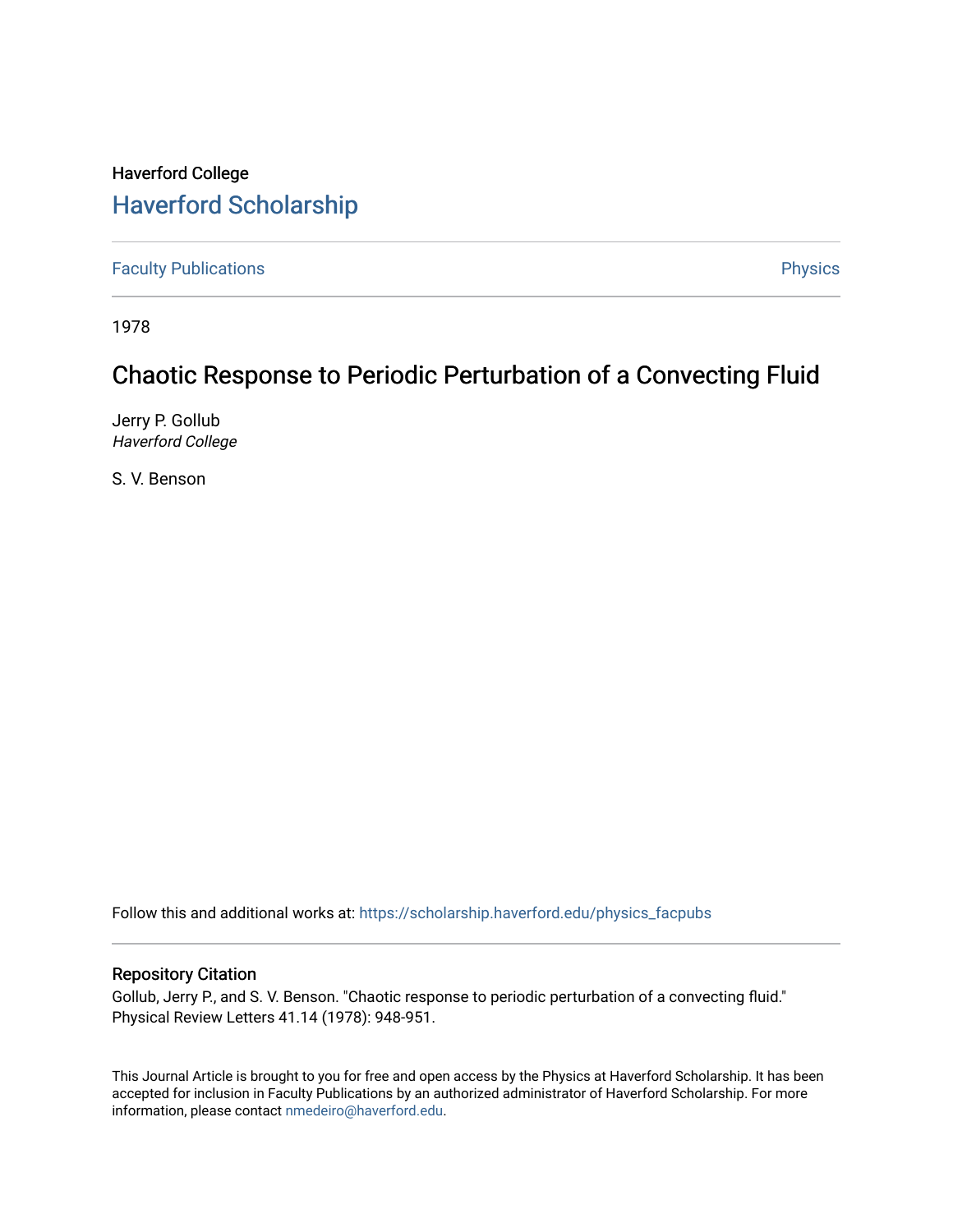# Haverford College [Haverford Scholarship](https://scholarship.haverford.edu/)

[Faculty Publications](https://scholarship.haverford.edu/physics_facpubs) **Physics** 

1978

## Chaotic Response to Periodic Perturbation of a Convecting Fluid

Jerry P. Gollub Haverford College

S. V. Benson

Follow this and additional works at: [https://scholarship.haverford.edu/physics\\_facpubs](https://scholarship.haverford.edu/physics_facpubs?utm_source=scholarship.haverford.edu%2Fphysics_facpubs%2F252&utm_medium=PDF&utm_campaign=PDFCoverPages) 

### Repository Citation

Gollub, Jerry P., and S. V. Benson. "Chaotic response to periodic perturbation of a convecting fluid." Physical Review Letters 41.14 (1978): 948-951.

This Journal Article is brought to you for free and open access by the Physics at Haverford Scholarship. It has been accepted for inclusion in Faculty Publications by an authorized administrator of Haverford Scholarship. For more information, please contact [nmedeiro@haverford.edu.](mailto:nmedeiro@haverford.edu)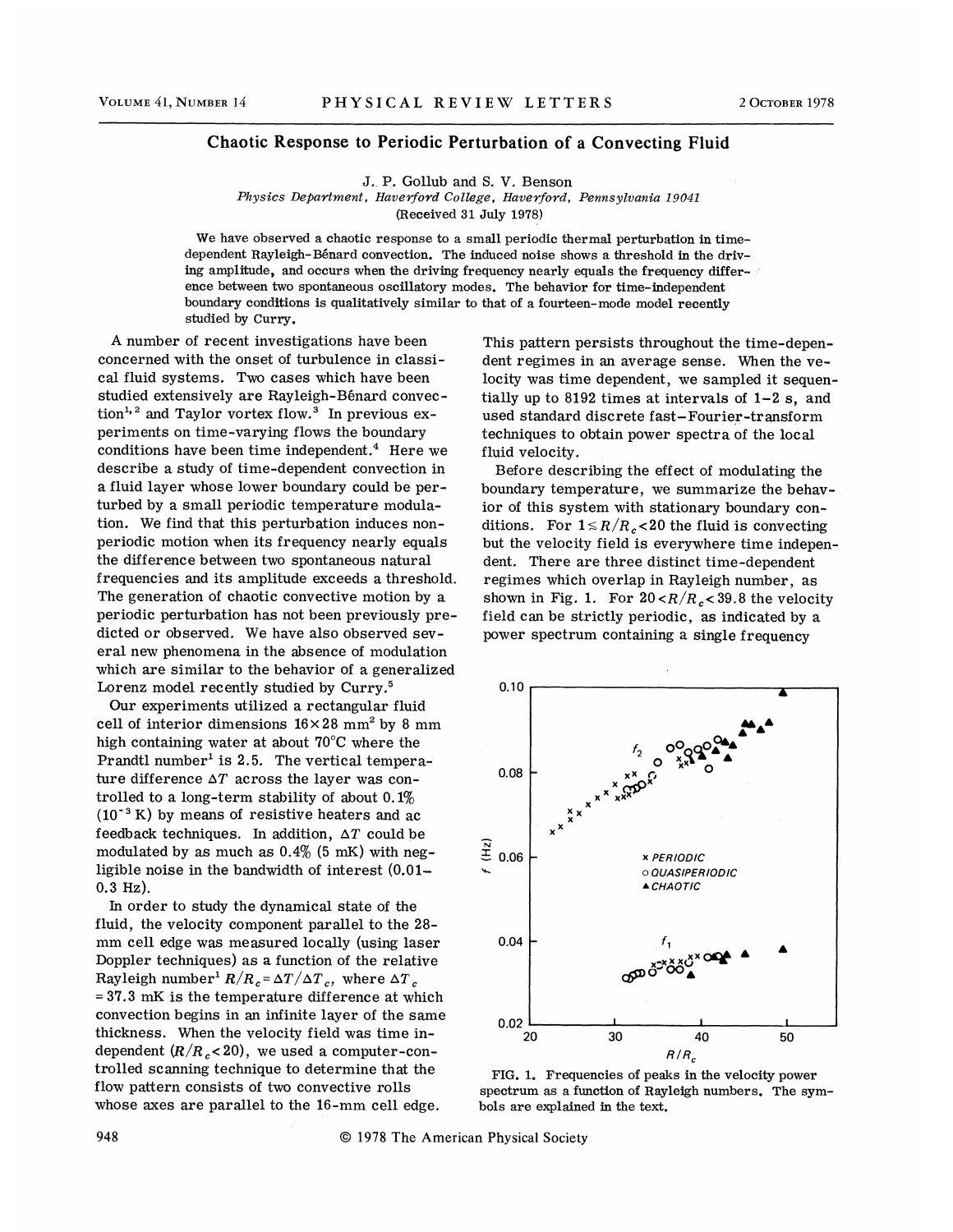#### Chaotic Response to Periodic Perturbation of a Convecting Fluid

J., P. Gollub and S. V. Benson

Physics Department, Haverford College, Haverford, Pennsylvania 19041

(Received 31 July 1978)

We have observed a chaotic response to a small periodic thermal perturbation in timedependent Rayleigh-Bénard convection. The induced noise shows a threshold in the driving amplitude, and occurs when the driving frequency nearly equals the frequency difference between two spontaneous oscillatory modes. The behavior for time-independent boundary conditions is qualitatively similar to that of a fourteen-mode model recentl studied by Curry.

A number of recent investigations have been concerned with the onset of turbulence in classical fluid systems. Two cases which have been studied extensively are Rayleigh-Bénard convecstudied extensively are naybeigh-beild d convet<br>tion<sup>1, 2</sup> and Taylor vortex flow.<sup>3</sup> In previous experiments on time-varying flows the boundary conditions have been time independent. $4$  Here we describe a study of time-dependent convection in a fluid layer whose lower boundary could be perturbed by a small periodic temperature modulation. We find that this perturbation induces nonperiodic motion when its frequency nearly equals the difference between two spontaneous natural frequencies and its amplitude exceeds a threshold. The generation of chaotic convective motion by a periodic perturbation has not been previously predicted or observed. We have also observed several new phenomena in the absence of modulation which are similar to the behavior of a generalized Lorenz model recently studied by Curry.<sup>5</sup>

Our experiments utilized a rectangular fluid cell of interior dimensions  $16\times28$  mm<sup>2</sup> by 8 mm high containing water at about 70'C where the Prandtl number<sup>1</sup> is 2.5. The vertical temperature difference  $\Delta T$  across the layer was controlled to a long-term stability of about  $0.1\%$  $(10^{-3} \text{ K})$  by means of resistive heaters and ac feedback techniques. In addition,  $\Delta T$  could be modulated by as much as  $0.4\%$  (5 mK) with negligible noise in the bandwidth of interest (0.01- 0.3 Hz).

In order to study the dynamical state of the fluid, the velocity component parallel to the 28 mm cell edge was measured locally (using laser Doppler techniques) as a function of the relative Ray leigh number<sup>1</sup>  $R/R_c = \Delta T/\Delta T_c$ , where  $\Delta T_c$ = 37.3 mK is the temperature difference at which convection begins in an infinite layer of the same thickness. When the velocity field was time independent  $(R/R_c < 20)$ , we used a computer-controlled scanning technique to determine that the flow pattern consists of two convective rolls whose axes are parallel to the 16-mm cell edge.

This pattern persists throughout the time-dependent regimes in an average sense. When the velocity was time dependent, we sampled it sequentially up to 8192 times at intervals of 1-2 s, and used standard discrete fast-Fourier-tr ansform techniques to obtain power spectra of the local fluid velocity.

Before describing the effect of modulating the boundary temperature, we summarize the behavior of this system with stationary boundary conditions. For  $1 \le R/R_c < 20$  the fluid is convecting but the velocity field is everywhere time independent. There are three distinct time-dependent regimes which overlap in Rayleigh number, as shown in Fig. 1. For  $20 < R/R_c < 39.8$  the velocity field can be strictly periodic, as indicated by a power spectrum containing a single frequency



FIG. 1. Frequencies of peaks in the velocity power spectrum as a function of Bayleigh numbers. The symbols are explained in the text.

948 01978 The American Physical Society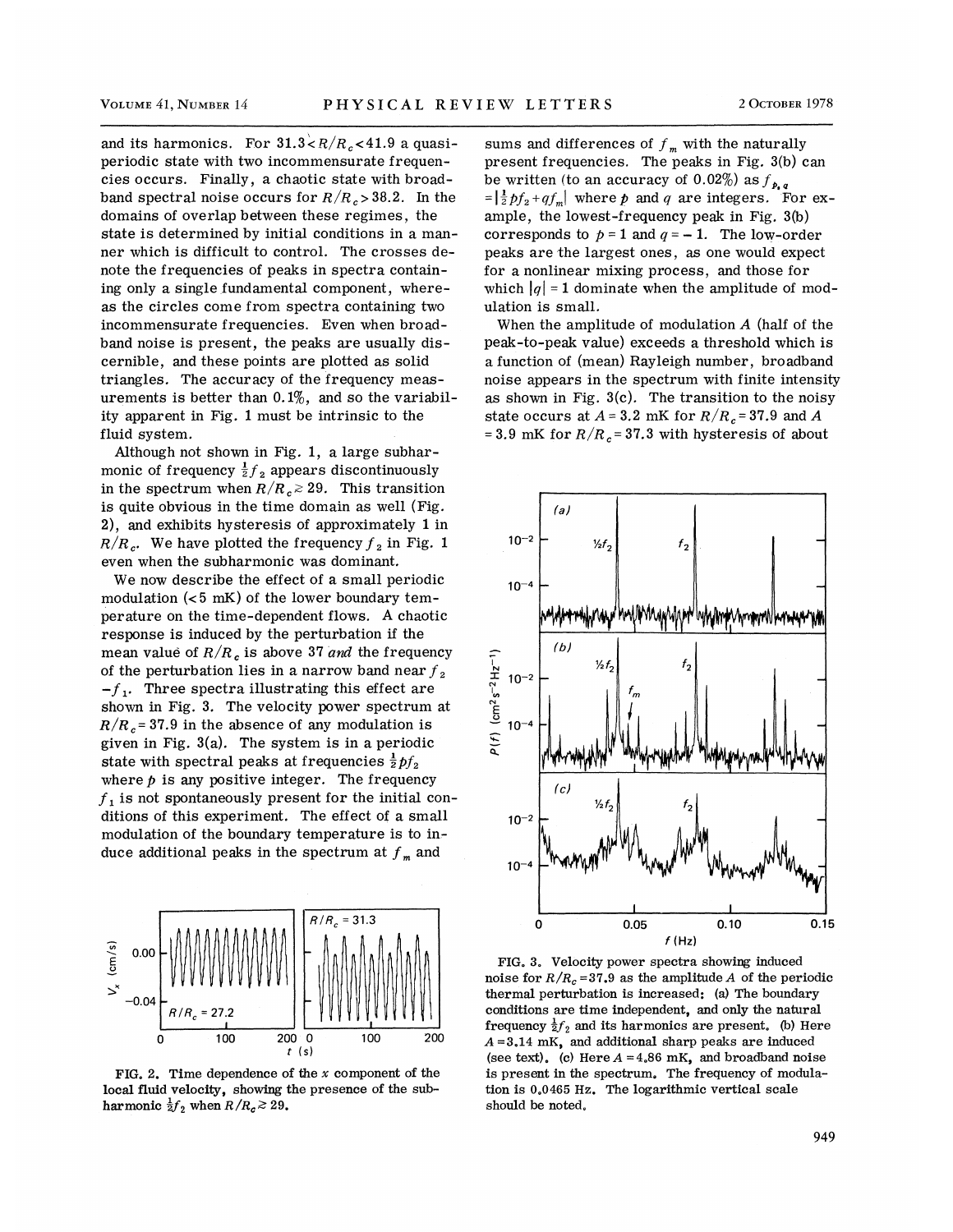and its harmonics. For  $31.3 \times R/R_c < 41.9$  a quasiperiodic state with two incommensurate frequencies occurs. Finally, a chaotic state with broadband spectral noise occurs for  $R/R_c > 38.2$ . In the domains of overlap between these regimes, the state is determined by initial conditions in a manner which is difficult to control. The crosses denote the frequencies of peaks in spectra containing only a single fundamental component, whereas the circles come from spectra containing two incommensurate frequencies. Even when broadband noise is present, the peaks are usually discernible, and these points are plotted as solid triangles. The accuracy of the frequency measurements is better than  $0.1\%$ , and so the variability apparent in Fig. 1 must be intrinsic to the fluid system.

Although not shown in Fig. 1, a large subharmonic of frequency  $\frac{1}{2}f_2$  appears discontinuously in the spectrum when  $R/R_c \ge 29$ . This transition is quite obvious in the time domain as well (Fig. 2), and exhibits hysteresis of approximately 1 in  $R/R_c$ . We have plotted the frequency  $f<sub>2</sub>$  in Fig. 1 even when the subharmonic was dominant.

We now describe the effect of a small periodic modulation  $( $5 \text{ mK}$ )$  of the lower boundary temperature on the time-dependent flows. A chaotic response is induced by the perturbation if the mean value of  $R/R_c$  is above 37 and the frequency of the perturbation lies in a narrow band near  $f_2$ <br>-f<sub>1</sub>. Three spectra illustrating this effect are shown in Fig. 3. The velocity power spectrum at  $R/R_c = 37.9$  in the absence of any modulation is given in Fig. 3(a). The system is in a periodic state with spectral peaks at frequencies  $\frac{1}{2} f_2$ where  $p$  is any positive integer. The frequency  $f<sub>1</sub>$  is not spontaneously present for the initial conditions of this experiment. The effect of a small modulation of the boundary temperature is to in. duce additional peaks in the spectrum at  $f_m$  and



FIG. 2. Time dependence of the  $x$  component of the local fluid velocity, showing the presence of the subharmonic  $\frac{1}{2} f_2$  when  $R/R_c \ge 29$ .

sums and differences of  $f_m$  with the naturally present frequencies. The peaks in Fig. 3(b) can be written (to an accuracy of 0.02%) as  $f_{\rho,q}$  $\frac{1}{2}pf_2+qf_m$  where p and q are integers. For example, the lowest-frequency peak in Fig. 3(b) corresponds to  $p = 1$  and  $q = -1$ . The low-order peaks are the largest ones, as one would expect for a nonlinear mixing process, and those for which  $|q| = 1$  dominate when the amplitude of modulation is small.

When the amplitude of modulation  $A$  (half of the peak-to-peak value) exceeds a threshold which is a function of (mean) Rayleigh number, broadband noise appears in the spectrum with finite intensity as shown in Fig.  $3(c)$ . The transition to the noisy state occurs at  $A = 3.2$  mK for  $R/R_c = 37.9$  and A = 3.9 mK for  $R/R_c$  = 37.3 with hysteresis of about



FIG. 3. Velocity power spectra showing induced noise for  $R/R_c = 37.9$  as the amplitude A of the periodic thermal perturbation is increased: (a) The boundary conditions are time independent, and only the natural frequency  $\frac{1}{2}f_2$  and its harmonics are present. (b) Here  $A = 3.14$  mK, and additional sharp peaks are induced (see text). (c) Here  $A = 4.86$  mK, and broadband noise is present in the spectrum. The frequency of modulation is 0.0465 Hz. The logarithmic vertical scale should be noted.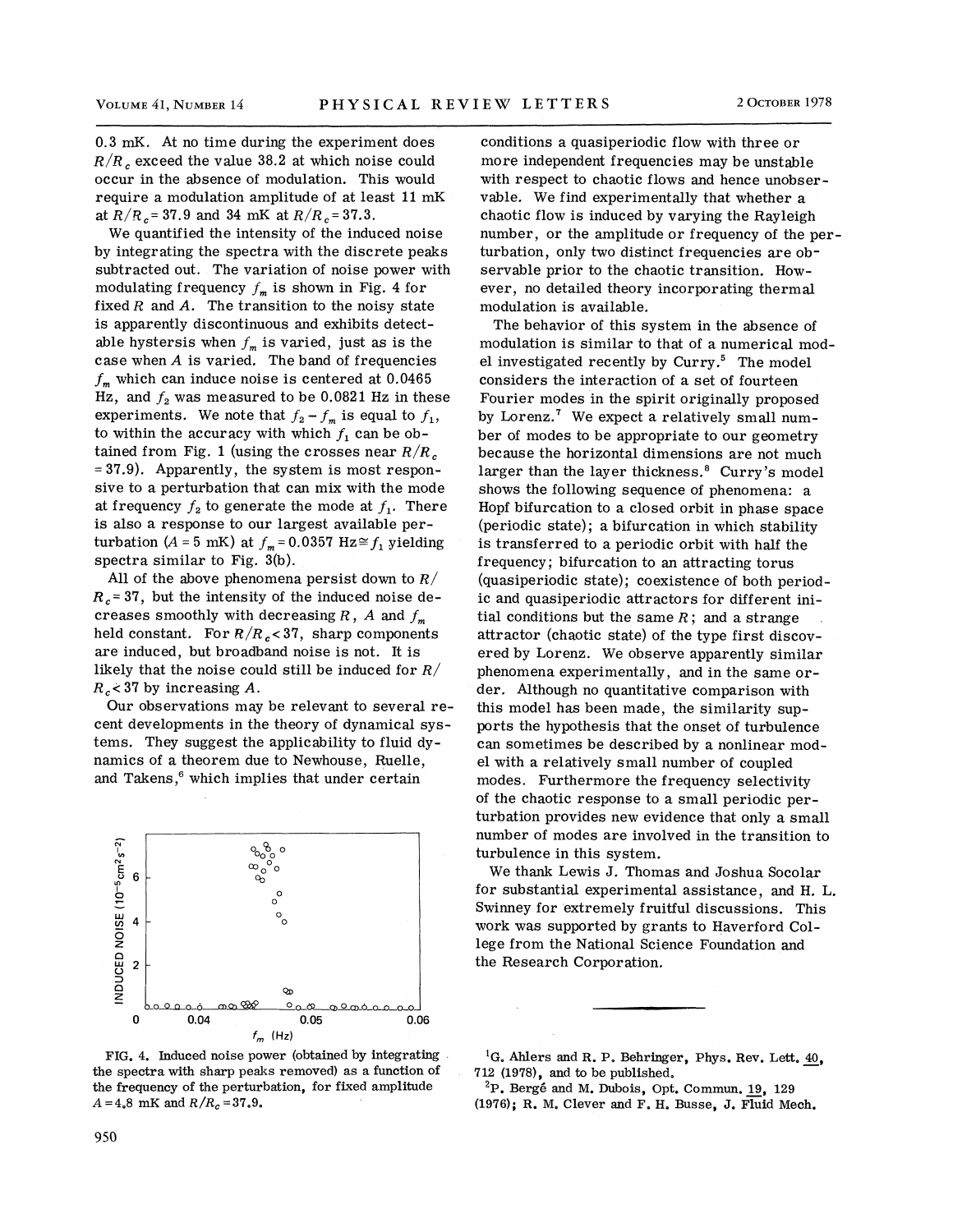0.3 mK. At no time during the experiment does  $R/R$ , exceed the value 38.2 at which noise could occur in the absence of modulation. This would require a modulation amplitude of at least 11 mK at  $R/R_c = 37.9$  and 34 mK at  $R/R_c = 37.3$ .

We quantified the intensity of the induced noise by integrating the spectra with the discrete peaks subtracted out. The variation of noise power with modulating frequency  $f_m$  is shown in Fig. 4 for fixed  $R$  and  $A$ . The transition to the noisy state is apparently discontinuous and exhibits detectable hystersis when  $f_m$  is varied, just as is the case when  $A$  is varied. The band of frequencies  $f_m$  which can induce noise is centered at 0.0465 Hz, and  $f_2$  was measured to be 0.0821 Hz in these experiments. We note that  $f_2 - f_m$  is equal to  $f_1$ , to within the accuracy with which  $f_1$  can be obtained from Fig. 1 (using the crosses near  $R/R_c$ = 37.9). Apparently, the system is most responsive to a perturbation that can mix with the mode at frequency  $f_2$  to generate the mode at  $f_1$ . There is also a response to our largest available perturbation (A = 5 mK) at  $f_m = 0.0357$  Hz $\approx$   $f_1$  yielding spectra similar to Fig. 3(b).

All of the above phenomena persist down to  $R/$  $R_c$ =37, but the intensity of the induced noise decreases smoothly with decreasing  $R$ ,  $A$  and  $f_m$ held constant. For  $R/R_c < 37$ , sharp components are induced, but broadband noise is not. It is likely that the noise could still be induced for  $R/$  $R_c$  < 37 by increasing A.

Our observations may be relevant to several recent developments in the theory of dynamical systems. They suggest the applicability to fluid dynamics of a theorem due to Newhouse, Ruelle, and Takens,<sup>6</sup> which implies that under certain



FIG. 4. Induced noise power (obtained by integrating the spectra with sharp peaks removed) as a function of the frequency of the perturbation, for fixed amplitude  $A = 4.8$  mK and  $R/R_c = 37.9$ .

conditions a quasiperiodic flow with three or more independent frequencies may be unstable with respect to chaotic flows and hence unobservable. We find experimentally that whether a chaotic flow is induced by varying the Rayleigh number, or the amplitude or frequency of the perturbation, only two distinct frequencies are observable prior to the chaotic transition. However, no detailed theory incorporating thermal modulation is available.

The behavior of this system in the absence of modulation is similar to that of a numerical model investigated recently by Curry.<sup>5</sup> The model considers the interaction of a set of fourteen Fourier modes in the spirit originally proposed by Lorenz.<sup>7</sup> We expect a relatively small number of modes to be appropriate to our geometry because the horizontal dimensions are not much larger than the layer thickness.<sup>8</sup> Curry's model shows the following sequence of phenomena: a Hopf bifurcation to a closed orbit in phase space (periodic state); a bifurcation in which stability is transferred to a periodic orbit with half the frequency; bifurcation to an attracting torus (quasiperiodic state); coexistence of both period ic and quasiperiodic attractors for different initial conditions but the same  $R$ ; and a strange attractor (chaotic state) of the type first discovered by Lorenz. We observe apparently similar phenomena experimentally, and in the same order. Although no quantitative comparison with this model has been made, the similarity supports the hypothesis that the onset of turbulence can sometimes be described by a nonlinear model with. a relatively small number of coupled modes. Furthermore the frequency selectivity of the chaotic response to a small periodic perturbation provides new evidence that only a small number of modes are involved in the transition to turbulence in this system.

We thank Lewis J. Thomas and Joshua Socolar for substantial experimental assistance, and H. L. Swinney for extremely fruitful discussions. This work was supported by grants to Haverford College from the National Science Foundation and the Research Corporation.

<sup>1</sup>G. Ahlers and R. P. Behringer, Phys. Rev. Lett.  $40$ , 712 (1978), and to be published.

 $^{2}P$ . Bergé and M. Dubois, Opt. Commun. 19, 129 (1976); R. M. Clever and F. H. Busse, J. Fluid Mech.